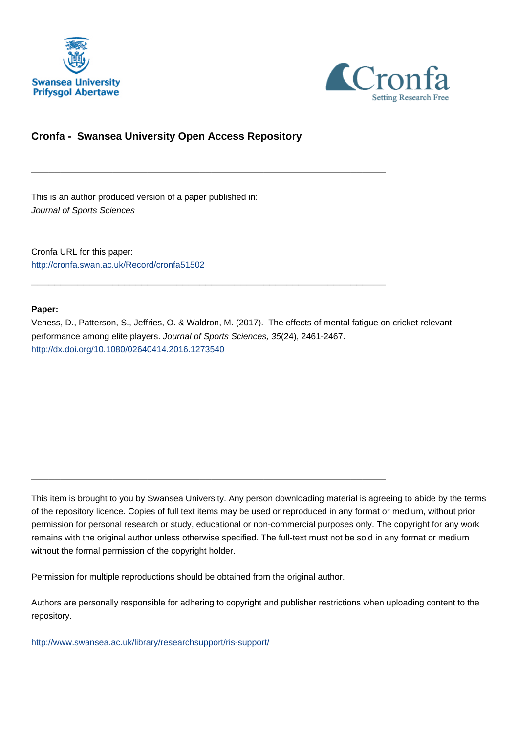



# **Cronfa - Swansea University Open Access Repository**

\_\_\_\_\_\_\_\_\_\_\_\_\_\_\_\_\_\_\_\_\_\_\_\_\_\_\_\_\_\_\_\_\_\_\_\_\_\_\_\_\_\_\_\_\_\_\_\_\_\_\_\_\_\_\_\_\_\_\_\_\_

\_\_\_\_\_\_\_\_\_\_\_\_\_\_\_\_\_\_\_\_\_\_\_\_\_\_\_\_\_\_\_\_\_\_\_\_\_\_\_\_\_\_\_\_\_\_\_\_\_\_\_\_\_\_\_\_\_\_\_\_\_

\_\_\_\_\_\_\_\_\_\_\_\_\_\_\_\_\_\_\_\_\_\_\_\_\_\_\_\_\_\_\_\_\_\_\_\_\_\_\_\_\_\_\_\_\_\_\_\_\_\_\_\_\_\_\_\_\_\_\_\_\_

This is an author produced version of a paper published in: Journal of Sports Sciences

Cronfa URL for this paper: <http://cronfa.swan.ac.uk/Record/cronfa51502>

#### **Paper:**

Veness, D., Patterson, S., Jeffries, O. & Waldron, M. (2017). The effects of mental fatigue on cricket-relevant performance among elite players. Journal of Sports Sciences, 35(24), 2461-2467. <http://dx.doi.org/10.1080/02640414.2016.1273540>

This item is brought to you by Swansea University. Any person downloading material is agreeing to abide by the terms of the repository licence. Copies of full text items may be used or reproduced in any format or medium, without prior permission for personal research or study, educational or non-commercial purposes only. The copyright for any work remains with the original author unless otherwise specified. The full-text must not be sold in any format or medium without the formal permission of the copyright holder.

Permission for multiple reproductions should be obtained from the original author.

Authors are personally responsible for adhering to copyright and publisher restrictions when uploading content to the repository.

[http://www.swansea.ac.uk/library/researchsupport/ris-support/](http://www.swansea.ac.uk/library/researchsupport/ris-support/ )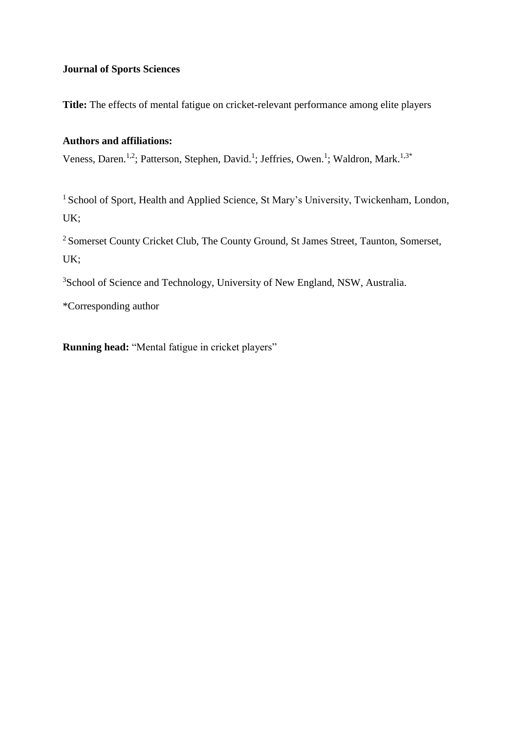# **Journal of Sports Sciences**

**Title:** The effects of mental fatigue on cricket-relevant performance among elite players

## **Authors and affiliations:**

Veness, Daren.<sup>1,2</sup>; Patterson, Stephen, David.<sup>1</sup>; Jeffries, Owen.<sup>1</sup>; Waldron, Mark.<sup>1,3\*</sup>

<sup>1</sup> School of Sport, Health and Applied Science, St Mary's University, Twickenham, London, UK;

<sup>2</sup> Somerset County Cricket Club, The County Ground, St James Street, Taunton, Somerset, UK;

<sup>3</sup>School of Science and Technology, University of New England, NSW, Australia.

\*Corresponding author

**Running head:** "Mental fatigue in cricket players"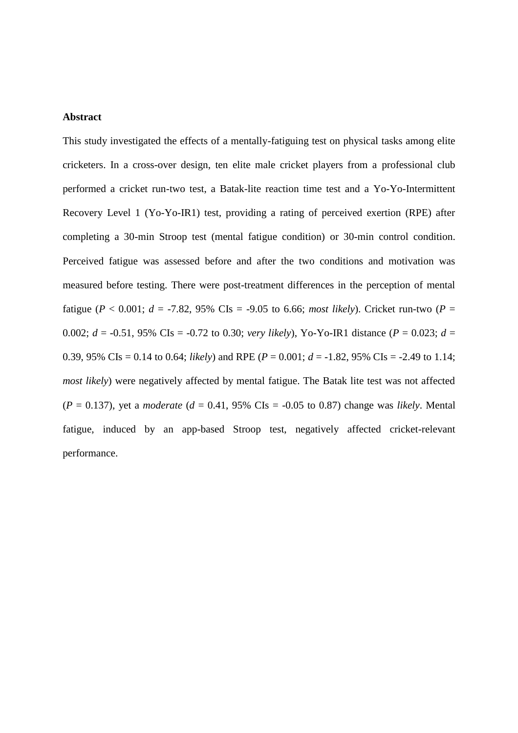### **Abstract**

This study investigated the effects of a mentally-fatiguing test on physical tasks among elite cricketers. In a cross-over design, ten elite male cricket players from a professional club performed a cricket run-two test, a Batak-lite reaction time test and a Yo-Yo-Intermittent Recovery Level 1 (Yo-Yo-IR1) test, providing a rating of perceived exertion (RPE) after completing a 30-min Stroop test (mental fatigue condition) or 30-min control condition. Perceived fatigue was assessed before and after the two conditions and motivation was measured before testing. There were post-treatment differences in the perception of mental fatigue ( $P < 0.001$ ;  $d = -7.82$ , 95% CIs = -9.05 to 6.66; *most likely*). Cricket run-two ( $P =$ 0.002;  $d = -0.51$ , 95% CIs =  $-0.72$  to 0.30; *very likely*), Yo-Yo-IR1 distance ( $P = 0.023$ ;  $d =$ 0.39, 95% CIs = 0.14 to 0.64; *likely*) and RPE ( $P = 0.001$ ;  $d = -1.82$ , 95% CIs = -2.49 to 1.14; *most likely*) were negatively affected by mental fatigue. The Batak lite test was not affected  $(P = 0.137)$ , yet a *moderate*  $(d = 0.41, 95\% \text{ Cls} = -0.05 \text{ to } 0.87)$  change was *likely*. Mental fatigue, induced by an app-based Stroop test, negatively affected cricket-relevant performance.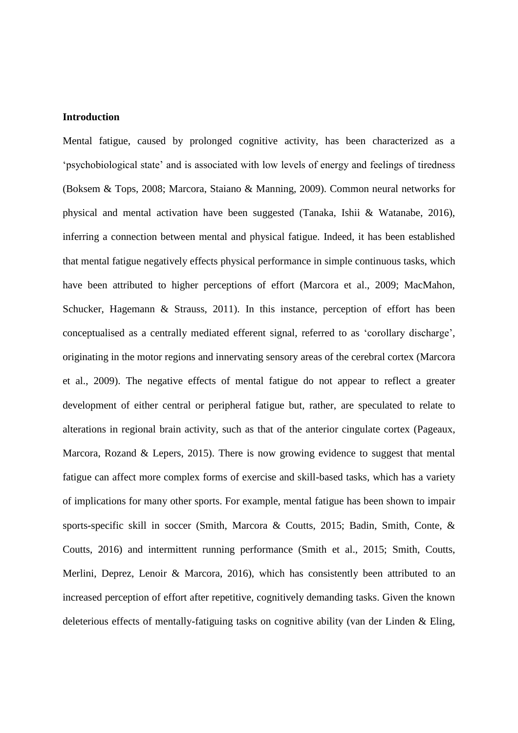## **Introduction**

Mental fatigue, caused by prolonged cognitive activity, has been characterized as a 'psychobiological state' and is associated with low levels of energy and feelings of tiredness (Boksem & Tops, 2008; Marcora, Staiano & Manning, 2009). Common neural networks for physical and mental activation have been suggested (Tanaka, Ishii & Watanabe, 2016), inferring a connection between mental and physical fatigue. Indeed, it has been established that mental fatigue negatively effects physical performance in simple continuous tasks, which have been attributed to higher perceptions of effort (Marcora et al., 2009; MacMahon, Schucker, Hagemann & Strauss, 2011). In this instance, perception of effort has been conceptualised as a centrally mediated efferent signal, referred to as 'corollary discharge', originating in the motor regions and innervating sensory areas of the cerebral cortex (Marcora et al., 2009). The negative effects of mental fatigue do not appear to reflect a greater development of either central or peripheral fatigue but, rather, are speculated to relate to alterations in regional brain activity, such as that of the anterior cingulate cortex (Pageaux, Marcora, Rozand & Lepers, 2015). There is now growing evidence to suggest that mental fatigue can affect more complex forms of exercise and skill-based tasks, which has a variety of implications for many other sports. For example, mental fatigue has been shown to impair sports-specific skill in soccer (Smith, Marcora & Coutts, 2015; Badin, Smith, Conte, & Coutts, 2016) and intermittent running performance (Smith et al., 2015; Smith, Coutts, Merlini, Deprez, Lenoir & Marcora, 2016), which has consistently been attributed to an increased perception of effort after repetitive, cognitively demanding tasks. Given the known deleterious effects of mentally-fatiguing tasks on cognitive ability (van der Linden & Eling,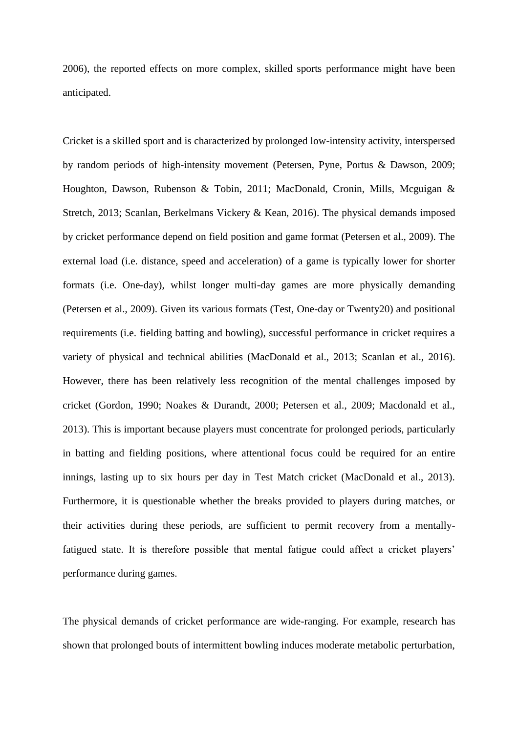2006), the reported effects on more complex, skilled sports performance might have been anticipated.

Cricket is a skilled sport and is characterized by prolonged low-intensity activity, interspersed by random periods of high-intensity movement (Petersen, Pyne, Portus & Dawson, 2009; Houghton, Dawson, Rubenson & Tobin, 2011; MacDonald, Cronin, Mills, Mcguigan & Stretch, 2013; Scanlan, Berkelmans Vickery & Kean, 2016). The physical demands imposed by cricket performance depend on field position and game format (Petersen et al., 2009). The external load (i.e. distance, speed and acceleration) of a game is typically lower for shorter formats (i.e. One-day), whilst longer multi-day games are more physically demanding (Petersen et al., 2009). Given its various formats (Test, One-day or Twenty20) and positional requirements (i.e. fielding batting and bowling), successful performance in cricket requires a variety of physical and technical abilities (MacDonald et al., 2013; Scanlan et al., 2016). However, there has been relatively less recognition of the mental challenges imposed by cricket (Gordon, 1990; Noakes & Durandt, 2000; Petersen et al., 2009; Macdonald et al., 2013). This is important because players must concentrate for prolonged periods, particularly in batting and fielding positions, where attentional focus could be required for an entire innings, lasting up to six hours per day in Test Match cricket (MacDonald et al., 2013). Furthermore, it is questionable whether the breaks provided to players during matches, or their activities during these periods, are sufficient to permit recovery from a mentallyfatigued state. It is therefore possible that mental fatigue could affect a cricket players' performance during games.

The physical demands of cricket performance are wide-ranging. For example, research has shown that prolonged bouts of intermittent bowling induces moderate metabolic perturbation,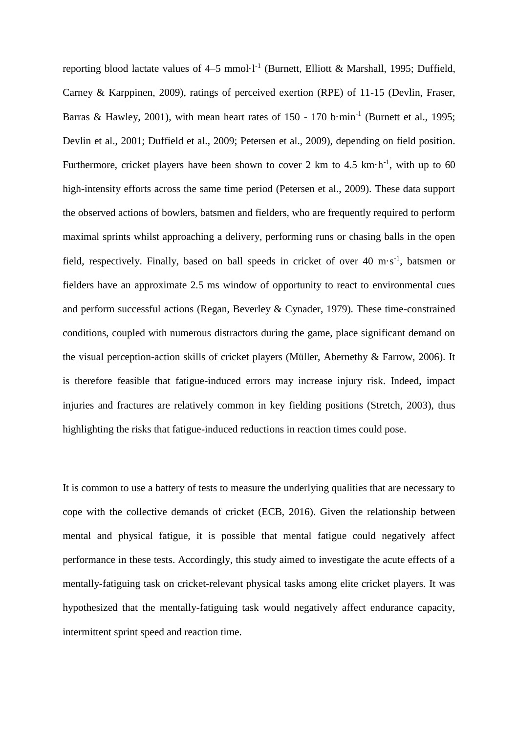reporting blood lactate values of  $4-5$  mmol $\cdot 1^{-1}$  (Burnett, Elliott & Marshall, 1995; Duffield, Carney & Karppinen, 2009), ratings of perceived exertion (RPE) of 11-15 (Devlin, Fraser, Barras & Hawley, 2001), with mean heart rates of  $150 - 170$  b $\cdot$ min<sup>-1</sup> (Burnett et al., 1995; Devlin et al., 2001; Duffield et al., 2009; Petersen et al., 2009), depending on field position. Furthermore, cricket players have been shown to cover 2 km to 4.5  $km \cdot h^{-1}$ , with up to 60 high-intensity efforts across the same time period (Petersen et al., 2009). These data support the observed actions of bowlers, batsmen and fielders, who are frequently required to perform maximal sprints whilst approaching a delivery, performing runs or chasing balls in the open field, respectively. Finally, based on ball speeds in cricket of over 40 m·s<sup>-1</sup>, batsmen or fielders have an approximate 2.5 ms window of opportunity to react to environmental cues and perform successful actions (Regan, Beverley & Cynader, 1979). These time-constrained conditions, coupled with numerous distractors during the game, place significant demand on the visual perception-action skills of cricket players (Müller, Abernethy & Farrow, 2006). It is therefore feasible that fatigue-induced errors may increase injury risk. Indeed, impact injuries and fractures are relatively common in key fielding positions (Stretch, 2003), thus highlighting the risks that fatigue-induced reductions in reaction times could pose.

It is common to use a battery of tests to measure the underlying qualities that are necessary to cope with the collective demands of cricket (ECB, 2016). Given the relationship between mental and physical fatigue, it is possible that mental fatigue could negatively affect performance in these tests. Accordingly, this study aimed to investigate the acute effects of a mentally-fatiguing task on cricket-relevant physical tasks among elite cricket players. It was hypothesized that the mentally-fatiguing task would negatively affect endurance capacity, intermittent sprint speed and reaction time.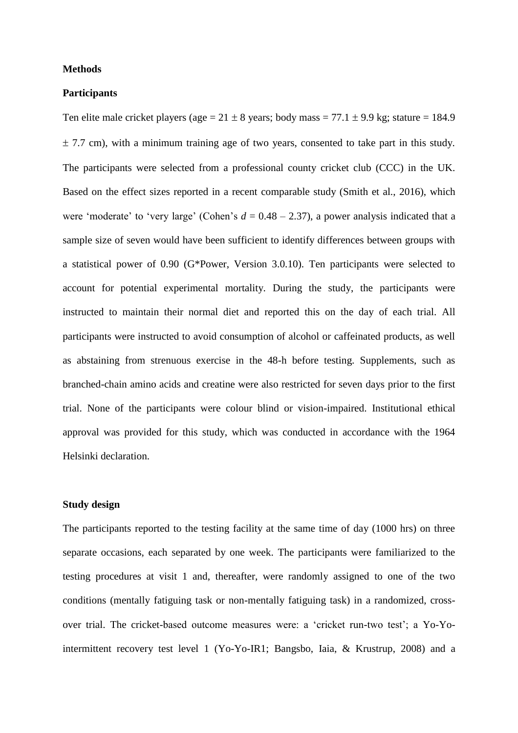#### **Methods**

#### **Participants**

Ten elite male cricket players (age =  $21 \pm 8$  years; body mass =  $77.1 \pm 9.9$  kg; stature = 184.9  $\pm$  7.7 cm), with a minimum training age of two years, consented to take part in this study. The participants were selected from a professional county cricket club (CCC) in the UK. Based on the effect sizes reported in a recent comparable study (Smith et al., 2016), which were 'moderate' to 'very large' (Cohen's  $d = 0.48 - 2.37$ ), a power analysis indicated that a sample size of seven would have been sufficient to identify differences between groups with a statistical power of 0.90 (G\*Power, Version 3.0.10). Ten participants were selected to account for potential experimental mortality. During the study, the participants were instructed to maintain their normal diet and reported this on the day of each trial. All participants were instructed to avoid consumption of alcohol or caffeinated products, as well as abstaining from strenuous exercise in the 48-h before testing. Supplements, such as branched-chain amino acids and creatine were also restricted for seven days prior to the first trial. None of the participants were colour blind or vision-impaired. Institutional ethical approval was provided for this study, which was conducted in accordance with the 1964 Helsinki declaration.

## **Study design**

The participants reported to the testing facility at the same time of day (1000 hrs) on three separate occasions, each separated by one week. The participants were familiarized to the testing procedures at visit 1 and, thereafter, were randomly assigned to one of the two conditions (mentally fatiguing task or non-mentally fatiguing task) in a randomized, crossover trial. The cricket-based outcome measures were: a 'cricket run-two test'; a Yo-Yointermittent recovery test level 1 (Yo-Yo-IR1; Bangsbo, Iaia, & Krustrup, 2008) and a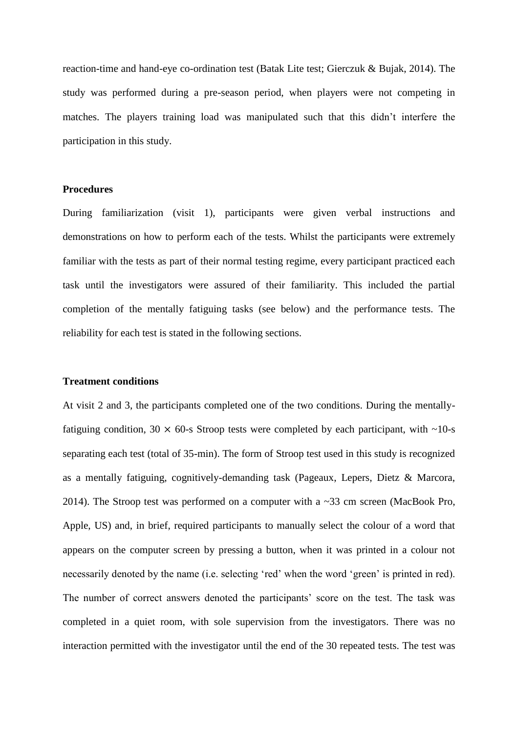reaction-time and hand-eye co-ordination test (Batak Lite test; Gierczuk & Bujak, 2014). The study was performed during a pre-season period, when players were not competing in matches. The players training load was manipulated such that this didn't interfere the participation in this study.

## **Procedures**

During familiarization (visit 1), participants were given verbal instructions and demonstrations on how to perform each of the tests. Whilst the participants were extremely familiar with the tests as part of their normal testing regime, every participant practiced each task until the investigators were assured of their familiarity. This included the partial completion of the mentally fatiguing tasks (see below) and the performance tests. The reliability for each test is stated in the following sections.

#### **Treatment conditions**

At visit 2 and 3, the participants completed one of the two conditions. During the mentallyfatiguing condition,  $30 \times 60$ -s Stroop tests were completed by each participant, with  $\sim 10$ -s separating each test (total of 35-min). The form of Stroop test used in this study is recognized as a mentally fatiguing, cognitively-demanding task (Pageaux, Lepers, Dietz & Marcora, 2014). The Stroop test was performed on a computer with a ~33 cm screen (MacBook Pro, Apple, US) and, in brief, required participants to manually select the colour of a word that appears on the computer screen by pressing a button, when it was printed in a colour not necessarily denoted by the name (i.e. selecting 'red' when the word 'green' is printed in red). The number of correct answers denoted the participants' score on the test. The task was completed in a quiet room, with sole supervision from the investigators. There was no interaction permitted with the investigator until the end of the 30 repeated tests. The test was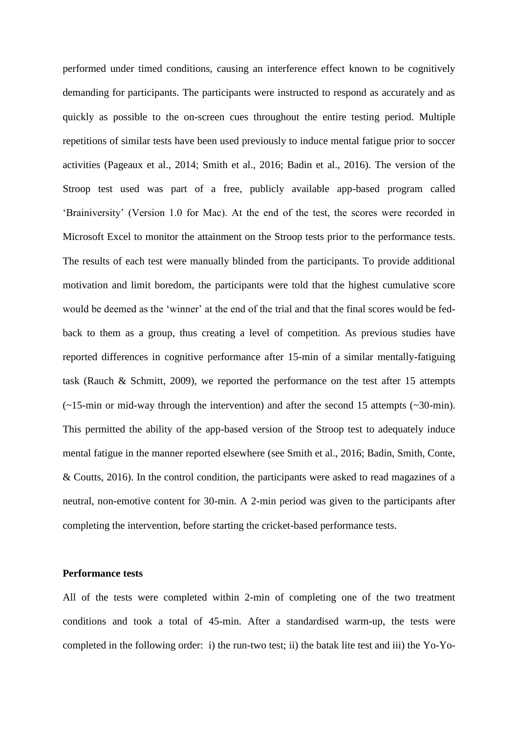performed under timed conditions, causing an interference effect known to be cognitively demanding for participants. The participants were instructed to respond as accurately and as quickly as possible to the on-screen cues throughout the entire testing period. Multiple repetitions of similar tests have been used previously to induce mental fatigue prior to soccer activities (Pageaux et al., 2014; Smith et al., 2016; Badin et al., 2016). The version of the Stroop test used was part of a free, publicly available app-based program called 'Brainiversity' (Version 1.0 for Mac). At the end of the test, the scores were recorded in Microsoft Excel to monitor the attainment on the Stroop tests prior to the performance tests. The results of each test were manually blinded from the participants. To provide additional motivation and limit boredom, the participants were told that the highest cumulative score would be deemed as the 'winner' at the end of the trial and that the final scores would be fedback to them as a group, thus creating a level of competition. As previous studies have reported differences in cognitive performance after 15-min of a similar mentally-fatiguing task (Rauch & Schmitt, 2009), we reported the performance on the test after 15 attempts  $(\sim 15$ -min or mid-way through the intervention) and after the second 15 attempts ( $\sim 30$ -min). This permitted the ability of the app-based version of the Stroop test to adequately induce mental fatigue in the manner reported elsewhere (see Smith et al., 2016; Badin, Smith, Conte, & Coutts, 2016). In the control condition, the participants were asked to read magazines of a neutral, non-emotive content for 30-min. A 2-min period was given to the participants after completing the intervention, before starting the cricket-based performance tests.

### **Performance tests**

All of the tests were completed within 2-min of completing one of the two treatment conditions and took a total of 45-min. After a standardised warm-up, the tests were completed in the following order: i) the run-two test; ii) the batak lite test and iii) the Yo-Yo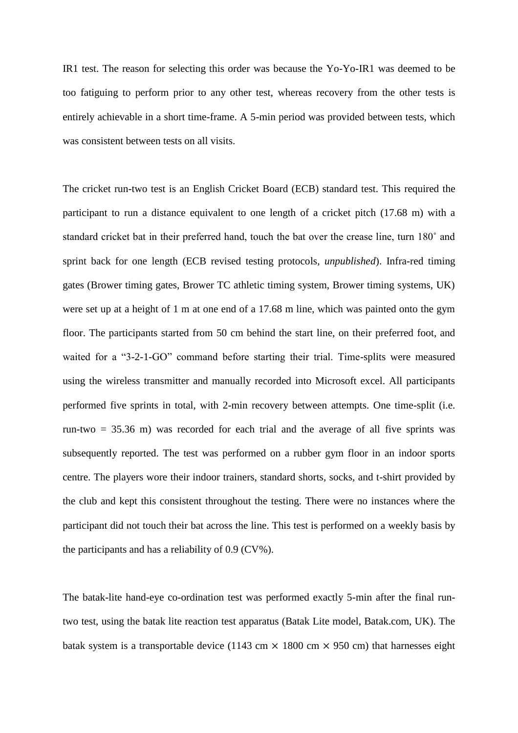IR1 test. The reason for selecting this order was because the Yo-Yo-IR1 was deemed to be too fatiguing to perform prior to any other test, whereas recovery from the other tests is entirely achievable in a short time-frame. A 5-min period was provided between tests, which was consistent between tests on all visits.

The cricket run-two test is an English Cricket Board (ECB) standard test. This required the participant to run a distance equivalent to one length of a cricket pitch (17.68 m) with a standard cricket bat in their preferred hand, touch the bat over the crease line, turn 180˚ and sprint back for one length (ECB revised testing protocols, *unpublished*). Infra-red timing gates (Brower timing gates, Brower TC athletic timing system, Brower timing systems, UK) were set up at a height of 1 m at one end of a 17.68 m line, which was painted onto the gym floor. The participants started from 50 cm behind the start line, on their preferred foot, and waited for a "3-2-1-GO" command before starting their trial. Time-splits were measured using the wireless transmitter and manually recorded into Microsoft excel. All participants performed five sprints in total, with 2-min recovery between attempts. One time-split (i.e. run-two = 35.36 m) was recorded for each trial and the average of all five sprints was subsequently reported. The test was performed on a rubber gym floor in an indoor sports centre. The players wore their indoor trainers, standard shorts, socks, and t-shirt provided by the club and kept this consistent throughout the testing. There were no instances where the participant did not touch their bat across the line. This test is performed on a weekly basis by the participants and has a reliability of 0.9 (CV%).

The batak-lite hand-eye co-ordination test was performed exactly 5-min after the final runtwo test, using the batak lite reaction test apparatus (Batak Lite model, Batak.com, UK). The batak system is a transportable device (1143 cm  $\times$  1800 cm  $\times$  950 cm) that harnesses eight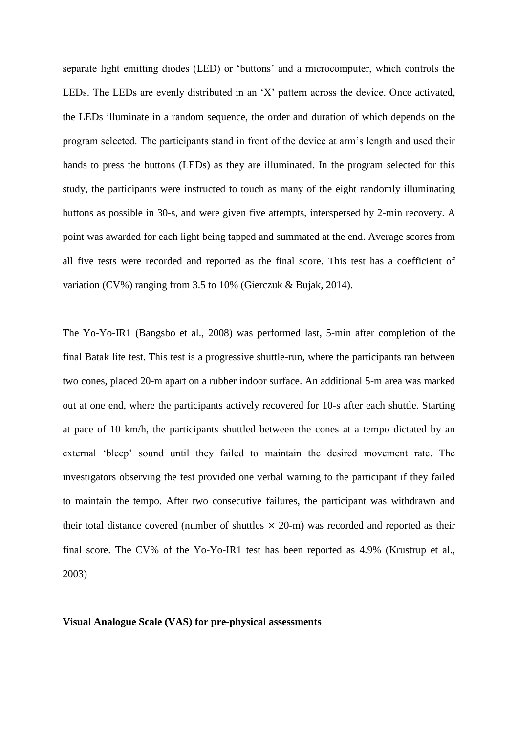separate light emitting diodes (LED) or 'buttons' and a microcomputer, which controls the LEDs. The LEDs are evenly distributed in an 'X' pattern across the device. Once activated, the LEDs illuminate in a random sequence, the order and duration of which depends on the program selected. The participants stand in front of the device at arm's length and used their hands to press the buttons (LEDs) as they are illuminated. In the program selected for this study, the participants were instructed to touch as many of the eight randomly illuminating buttons as possible in 30-s, and were given five attempts, interspersed by 2-min recovery. A point was awarded for each light being tapped and summated at the end. Average scores from all five tests were recorded and reported as the final score. This test has a coefficient of variation (CV%) ranging from 3.5 to 10% (Gierczuk & Bujak, 2014).

The Yo-Yo-IR1 (Bangsbo et al., 2008) was performed last, 5-min after completion of the final Batak lite test. This test is a progressive shuttle-run, where the participants ran between two cones, placed 20-m apart on a rubber indoor surface. An additional 5-m area was marked out at one end, where the participants actively recovered for 10-s after each shuttle. Starting at pace of 10 km/h, the participants shuttled between the cones at a tempo dictated by an external 'bleep' sound until they failed to maintain the desired movement rate. The investigators observing the test provided one verbal warning to the participant if they failed to maintain the tempo. After two consecutive failures, the participant was withdrawn and their total distance covered (number of shuttles  $\times$  20-m) was recorded and reported as their final score. The CV% of the Yo-Yo-IR1 test has been reported as 4.9% (Krustrup et al., 2003)

#### **Visual Analogue Scale (VAS) for pre-physical assessments**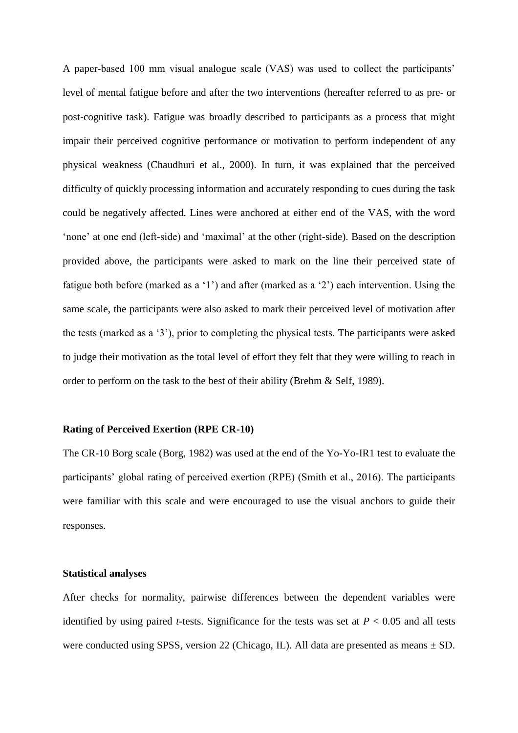A paper-based 100 mm visual analogue scale (VAS) was used to collect the participants' level of mental fatigue before and after the two interventions (hereafter referred to as pre- or post-cognitive task). Fatigue was broadly described to participants as a process that might impair their perceived cognitive performance or motivation to perform independent of any physical weakness (Chaudhuri et al., 2000). In turn, it was explained that the perceived difficulty of quickly processing information and accurately responding to cues during the task could be negatively affected. Lines were anchored at either end of the VAS, with the word 'none' at one end (left-side) and 'maximal' at the other (right-side). Based on the description provided above, the participants were asked to mark on the line their perceived state of fatigue both before (marked as a '1') and after (marked as a '2') each intervention. Using the same scale, the participants were also asked to mark their perceived level of motivation after the tests (marked as a '3'), prior to completing the physical tests. The participants were asked to judge their motivation as the total level of effort they felt that they were willing to reach in order to perform on the task to the best of their ability (Brehm & Self, 1989).

#### **Rating of Perceived Exertion (RPE CR-10)**

The CR-10 Borg scale (Borg, 1982) was used at the end of the Yo-Yo-IR1 test to evaluate the participants' global rating of perceived exertion (RPE) (Smith et al., 2016). The participants were familiar with this scale and were encouraged to use the visual anchors to guide their responses.

## **Statistical analyses**

After checks for normality, pairwise differences between the dependent variables were identified by using paired *t*-tests. Significance for the tests was set at  $P < 0.05$  and all tests were conducted using SPSS, version 22 (Chicago, IL). All data are presented as means  $\pm$  SD.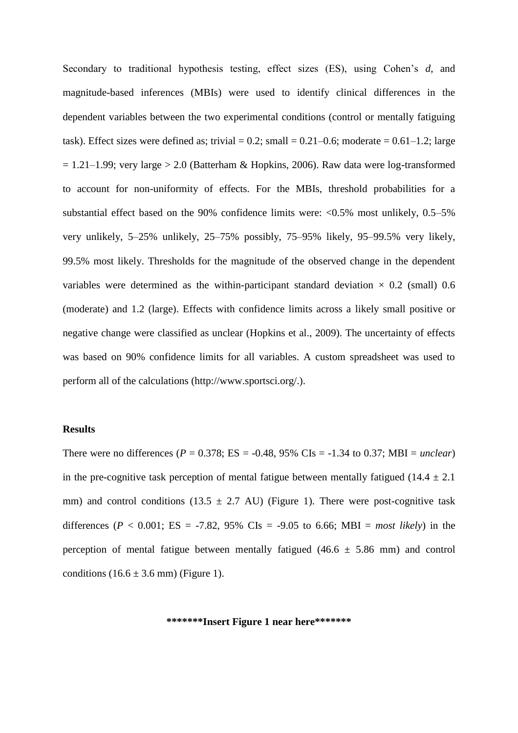Secondary to traditional hypothesis testing, effect sizes (ES), using Cohen's *d*, and magnitude-based inferences (MBIs) were used to identify clinical differences in the dependent variables between the two experimental conditions (control or mentally fatiguing task). Effect sizes were defined as; trivial =  $0.2$ ; small =  $0.21-0.6$ ; moderate =  $0.61-1.2$ ; large  $= 1.21-1.99$ ; very large > 2.0 (Batterham & Hopkins, 2006). Raw data were log-transformed to account for non-uniformity of effects. For the MBIs, threshold probabilities for a substantial effect based on the 90% confidence limits were:  $< 0.5\%$  most unlikely, 0.5–5% very unlikely, 5–25% unlikely, 25–75% possibly, 75–95% likely, 95–99.5% very likely, 99.5% most likely. Thresholds for the magnitude of the observed change in the dependent variables were determined as the within-participant standard deviation  $\times$  0.2 (small) 0.6 (moderate) and 1.2 (large). Effects with confidence limits across a likely small positive or negative change were classified as unclear (Hopkins et al., 2009). The uncertainty of effects was based on 90% confidence limits for all variables. A custom spreadsheet was used to perform all of the calculations (http://www.sportsci.org/.).

#### **Results**

There were no differences ( $P = 0.378$ ; ES = -0.48, 95% CIs = -1.34 to 0.37; MBI = *unclear*) in the pre-cognitive task perception of mental fatigue between mentally fatigued (14.4  $\pm$  2.1) mm) and control conditions (13.5  $\pm$  2.7 AU) (Figure 1). There were post-cognitive task differences ( $P < 0.001$ ; ES = -7.82, 95% CIs = -9.05 to 6.66; MBI = *most likely*) in the perception of mental fatigue between mentally fatigued (46.6  $\pm$  5.86 mm) and control conditions  $(16.6 \pm 3.6 \text{ mm})$  (Figure 1).

**\*\*\*\*\*\*\*Insert Figure 1 near here\*\*\*\*\*\*\***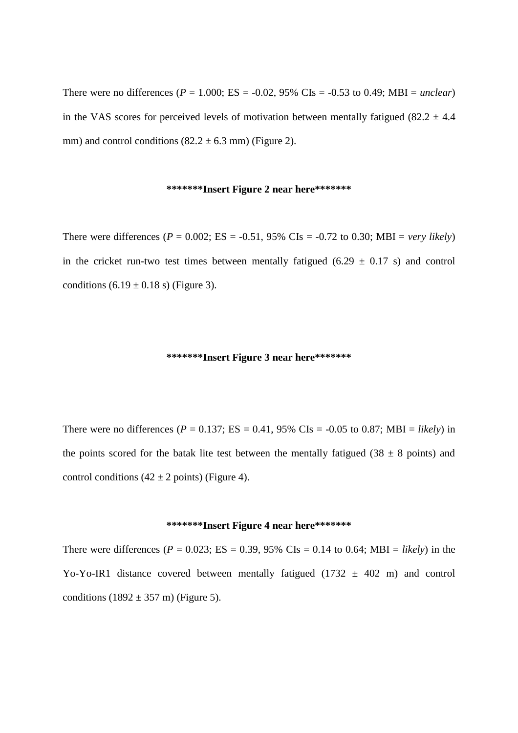There were no differences ( $P = 1.000$ ; ES = -0.02, 95% CIs = -0.53 to 0.49; MBI = *unclear*) in the VAS scores for perceived levels of motivation between mentally fatigued (82.2  $\pm$  4.4 mm) and control conditions  $(82.2 \pm 6.3 \text{ mm})$  (Figure 2).

### **\*\*\*\*\*\*\*Insert Figure 2 near here\*\*\*\*\*\*\***

There were differences ( $P = 0.002$ ; ES = -0.51, 95% CIs = -0.72 to 0.30; MBI = *very likely*) in the cricket run-two test times between mentally fatigued  $(6.29 \pm 0.17 \text{ s})$  and control conditions  $(6.19 \pm 0.18 \text{ s})$  (Figure 3).

#### **\*\*\*\*\*\*\*Insert Figure 3 near here\*\*\*\*\*\*\***

There were no differences ( $P = 0.137$ ; ES = 0.41, 95% CIs = -0.05 to 0.87; MBI = *likely*) in the points scored for the batak lite test between the mentally fatigued (38  $\pm$  8 points) and control conditions  $(42 \pm 2 \text{ points})$  (Figure 4).

#### **\*\*\*\*\*\*\*Insert Figure 4 near here\*\*\*\*\*\*\***

There were differences ( $P = 0.023$ ; ES = 0.39, 95% CIs = 0.14 to 0.64; MBI = *likely*) in the Yo-Yo-IR1 distance covered between mentally fatigued (1732  $\pm$  402 m) and control conditions  $(1892 \pm 357 \text{ m})$  (Figure 5).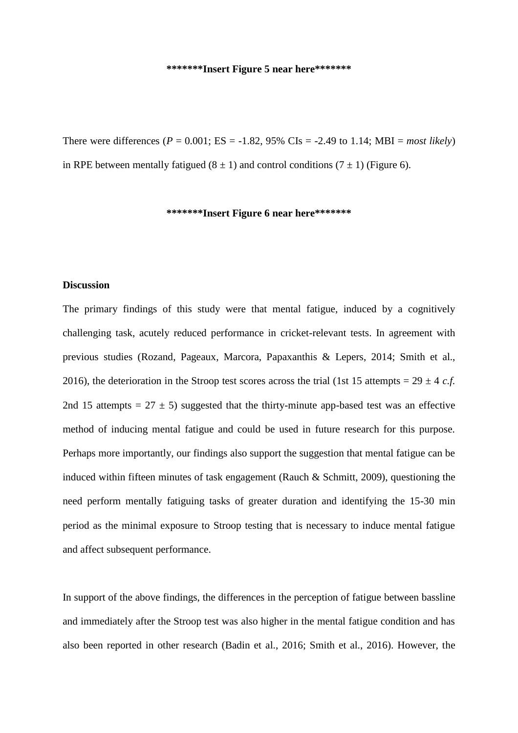#### **\*\*\*\*\*\*\*Insert Figure 5 near here\*\*\*\*\*\*\***

There were differences ( $P = 0.001$ ; ES = -1.82, 95% CIs = -2.49 to 1.14; MBI = *most likely*) in RPE between mentally fatigued  $(8 \pm 1)$  and control conditions  $(7 \pm 1)$  (Figure 6).

#### **\*\*\*\*\*\*\*Insert Figure 6 near here\*\*\*\*\*\*\***

## **Discussion**

The primary findings of this study were that mental fatigue, induced by a cognitively challenging task, acutely reduced performance in cricket-relevant tests. In agreement with previous studies (Rozand, Pageaux, Marcora, Papaxanthis & Lepers, 2014; Smith et al., 2016), the deterioration in the Stroop test scores across the trial (1st 15 attempts =  $29 \pm 4$  *c.f.*) 2nd 15 attempts =  $27 \pm 5$ ) suggested that the thirty-minute app-based test was an effective method of inducing mental fatigue and could be used in future research for this purpose. Perhaps more importantly, our findings also support the suggestion that mental fatigue can be induced within fifteen minutes of task engagement (Rauch & Schmitt, 2009), questioning the need perform mentally fatiguing tasks of greater duration and identifying the 15-30 min period as the minimal exposure to Stroop testing that is necessary to induce mental fatigue and affect subsequent performance.

In support of the above findings, the differences in the perception of fatigue between bassline and immediately after the Stroop test was also higher in the mental fatigue condition and has also been reported in other research (Badin et al., 2016; Smith et al., 2016). However, the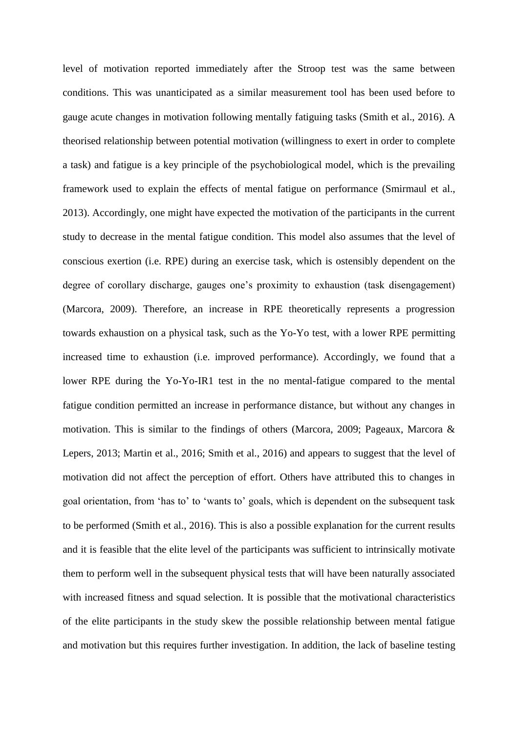level of motivation reported immediately after the Stroop test was the same between conditions. This was unanticipated as a similar measurement tool has been used before to gauge acute changes in motivation following mentally fatiguing tasks (Smith et al., 2016). A theorised relationship between potential motivation (willingness to exert in order to complete a task) and fatigue is a key principle of the psychobiological model, which is the prevailing framework used to explain the effects of mental fatigue on performance (Smirmaul et al., 2013). Accordingly, one might have expected the motivation of the participants in the current study to decrease in the mental fatigue condition. This model also assumes that the level of conscious exertion (i.e. RPE) during an exercise task, which is ostensibly dependent on the degree of corollary discharge, gauges one's proximity to exhaustion (task disengagement) (Marcora, 2009). Therefore, an increase in RPE theoretically represents a progression towards exhaustion on a physical task, such as the Yo-Yo test, with a lower RPE permitting increased time to exhaustion (i.e. improved performance). Accordingly, we found that a lower RPE during the Yo-Yo-IR1 test in the no mental-fatigue compared to the mental fatigue condition permitted an increase in performance distance, but without any changes in motivation. This is similar to the findings of others (Marcora, 2009; Pageaux, Marcora & Lepers, 2013; Martin et al., 2016; Smith et al., 2016) and appears to suggest that the level of motivation did not affect the perception of effort. Others have attributed this to changes in goal orientation, from 'has to' to 'wants to' goals, which is dependent on the subsequent task to be performed (Smith et al., 2016). This is also a possible explanation for the current results and it is feasible that the elite level of the participants was sufficient to intrinsically motivate them to perform well in the subsequent physical tests that will have been naturally associated with increased fitness and squad selection. It is possible that the motivational characteristics of the elite participants in the study skew the possible relationship between mental fatigue and motivation but this requires further investigation. In addition, the lack of baseline testing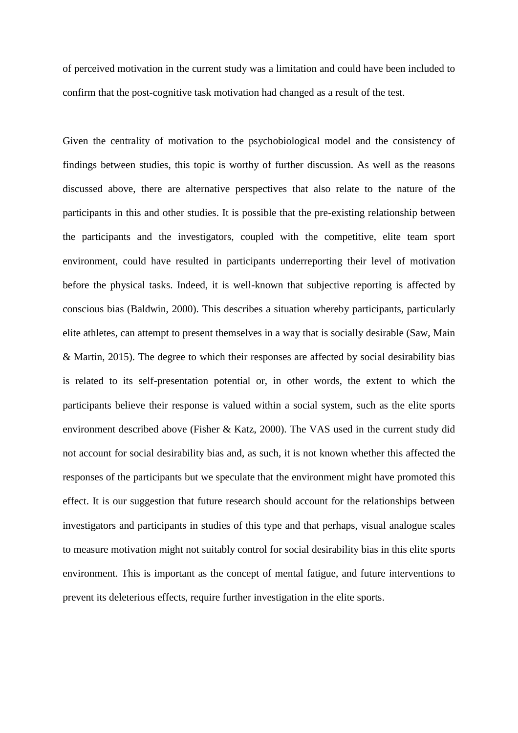of perceived motivation in the current study was a limitation and could have been included to confirm that the post-cognitive task motivation had changed as a result of the test.

Given the centrality of motivation to the psychobiological model and the consistency of findings between studies, this topic is worthy of further discussion. As well as the reasons discussed above, there are alternative perspectives that also relate to the nature of the participants in this and other studies. It is possible that the pre-existing relationship between the participants and the investigators, coupled with the competitive, elite team sport environment, could have resulted in participants underreporting their level of motivation before the physical tasks. Indeed, it is well-known that subjective reporting is affected by conscious bias (Baldwin, 2000). This describes a situation whereby participants, particularly elite athletes, can attempt to present themselves in a way that is socially desirable (Saw, Main & Martin, 2015). The degree to which their responses are affected by social desirability bias is related to its self-presentation potential or, in other words, the extent to which the participants believe their response is valued within a social system, such as the elite sports environment described above (Fisher & Katz, 2000). The VAS used in the current study did not account for social desirability bias and, as such, it is not known whether this affected the responses of the participants but we speculate that the environment might have promoted this effect. It is our suggestion that future research should account for the relationships between investigators and participants in studies of this type and that perhaps, visual analogue scales to measure motivation might not suitably control for social desirability bias in this elite sports environment. This is important as the concept of mental fatigue, and future interventions to prevent its deleterious effects, require further investigation in the elite sports.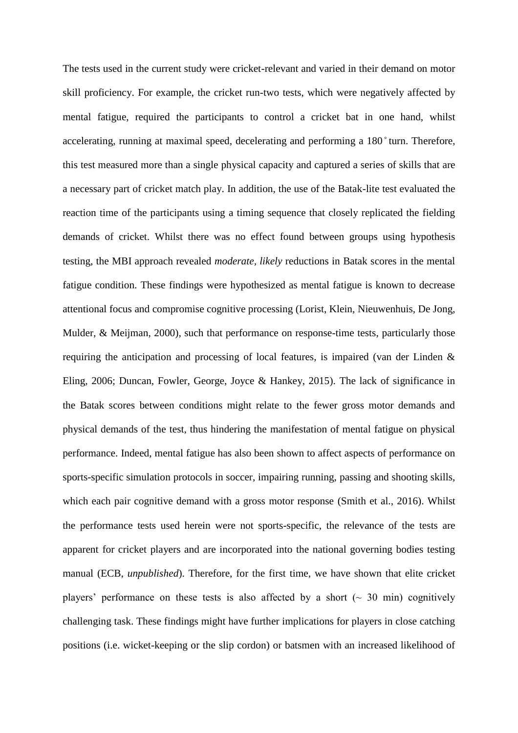The tests used in the current study were cricket-relevant and varied in their demand on motor skill proficiency. For example, the cricket run-two tests, which were negatively affected by mental fatigue, required the participants to control a cricket bat in one hand, whilst accelerating, running at maximal speed, decelerating and performing a 180<sup>°</sup>turn. Therefore, this test measured more than a single physical capacity and captured a series of skills that are a necessary part of cricket match play. In addition, the use of the Batak-lite test evaluated the reaction time of the participants using a timing sequence that closely replicated the fielding demands of cricket. Whilst there was no effect found between groups using hypothesis testing, the MBI approach revealed *moderate, likely* reductions in Batak scores in the mental fatigue condition. These findings were hypothesized as mental fatigue is known to decrease attentional focus and compromise cognitive processing (Lorist, Klein, Nieuwenhuis, De Jong, Mulder, & Meijman, 2000), such that performance on response-time tests, particularly those requiring the anticipation and processing of local features, is impaired (van der Linden & Eling, 2006; Duncan, Fowler, George, Joyce & Hankey, 2015). The lack of significance in the Batak scores between conditions might relate to the fewer gross motor demands and physical demands of the test, thus hindering the manifestation of mental fatigue on physical performance. Indeed, mental fatigue has also been shown to affect aspects of performance on sports-specific simulation protocols in soccer, impairing running, passing and shooting skills, which each pair cognitive demand with a gross motor response (Smith et al., 2016). Whilst the performance tests used herein were not sports-specific, the relevance of the tests are apparent for cricket players and are incorporated into the national governing bodies testing manual (ECB, *unpublished*). Therefore, for the first time, we have shown that elite cricket players' performance on these tests is also affected by a short  $\sim$  30 min) cognitively challenging task. These findings might have further implications for players in close catching positions (i.e. wicket-keeping or the slip cordon) or batsmen with an increased likelihood of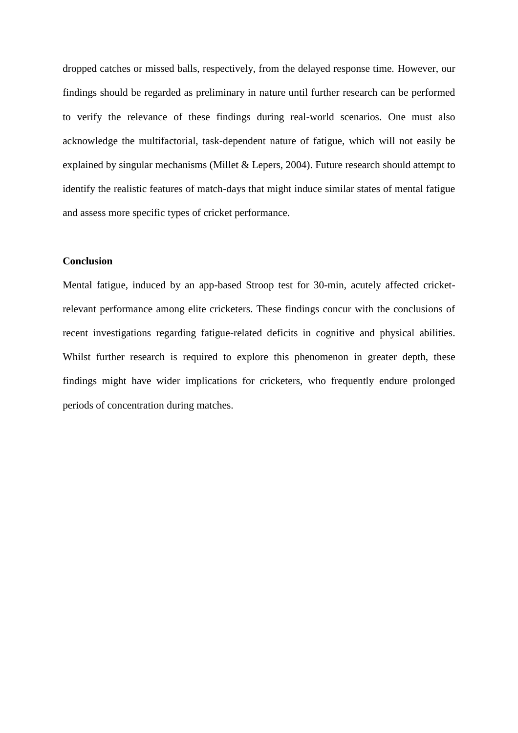dropped catches or missed balls, respectively, from the delayed response time. However, our findings should be regarded as preliminary in nature until further research can be performed to verify the relevance of these findings during real-world scenarios. One must also acknowledge the multifactorial, task-dependent nature of fatigue, which will not easily be explained by singular mechanisms (Millet & Lepers, 2004). Future research should attempt to identify the realistic features of match-days that might induce similar states of mental fatigue and assess more specific types of cricket performance.

#### **Conclusion**

Mental fatigue, induced by an app-based Stroop test for 30-min, acutely affected cricketrelevant performance among elite cricketers. These findings concur with the conclusions of recent investigations regarding fatigue-related deficits in cognitive and physical abilities. Whilst further research is required to explore this phenomenon in greater depth, these findings might have wider implications for cricketers, who frequently endure prolonged periods of concentration during matches.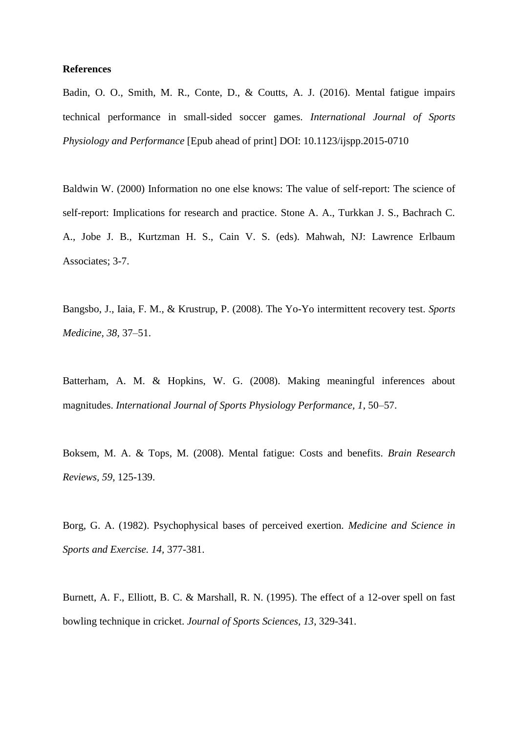#### **References**

Badin, O. O., Smith, M. R., Conte, D., & Coutts, A. J. (2016). Mental fatigue impairs technical performance in small-sided soccer games. *International Journal of Sports Physiology and Performance* [Epub ahead of print] DOI: 10.1123/ijspp.2015-0710

Baldwin W. (2000) Information no one else knows: The value of self-report: The science of self-report: Implications for research and practice. Stone A. A., Turkkan J. S., Bachrach C. A., Jobe J. B., Kurtzman H. S., Cain V. S. (eds). Mahwah, NJ: Lawrence Erlbaum Associates; 3-7.

Bangsbo, J., Iaia, F. M., & Krustrup, P. (2008). The Yo-Yo intermittent recovery test. *Sports Medicine, 38,* 37–51.

Batterham, A. M. & Hopkins, W. G. (2008). Making meaningful inferences about magnitudes. *International Journal of Sports Physiology Performance, 1*, 50–57.

Boksem, M. A. & Tops, M. (2008). Mental fatigue: Costs and benefits. *Brain Research Reviews, 59*, 125-139.

Borg, G. A. (1982). Psychophysical bases of perceived exertion. *Medicine and Science in Sports and Exercise. 14,* 377-381.

Burnett, A. F., Elliott, B. C. & Marshall, R. N. (1995). The effect of a 12-over spell on fast bowling technique in cricket. *Journal of Sports Sciences, 13*, 329-341.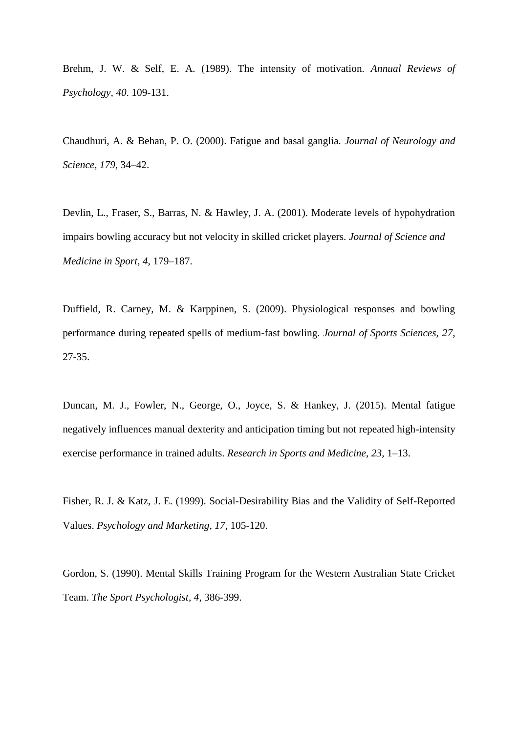Brehm, J. W. & Self, E. A. (1989). The intensity of motivation. *Annual Reviews of Psychology, 40*. 109-131.

Chaudhuri, A. & Behan, P. O. (2000). Fatigue and basal ganglia. *Journal of Neurology and Science, 179,* 34–42.

Devlin, L., Fraser, S., Barras, N. & Hawley, J. A. (2001). Moderate levels of hypohydration impairs bowling accuracy but not velocity in skilled cricket players. *Journal of Science and Medicine in Sport, 4*, 179–187.

Duffield, R. Carney, M. & Karppinen, S. (2009). Physiological responses and bowling performance during repeated spells of medium-fast bowling. *Journal of Sports Sciences, 27*, 27-35.

Duncan, M. J., Fowler, N., George, O., Joyce, S. & Hankey, J. (2015). Mental fatigue negatively influences manual dexterity and anticipation timing but not repeated high-intensity exercise performance in trained adults. *Research in Sports and Medicine, 23,* 1–13.

Fisher, R. J. & Katz, J. E. (1999). Social-Desirability Bias and the Validity of Self-Reported Values. *Psychology and Marketing, 17,* 105-120.

Gordon, S. (1990). Mental Skills Training Program for the Western Australian State Cricket Team. *The Sport Psychologist, 4*, 386-399.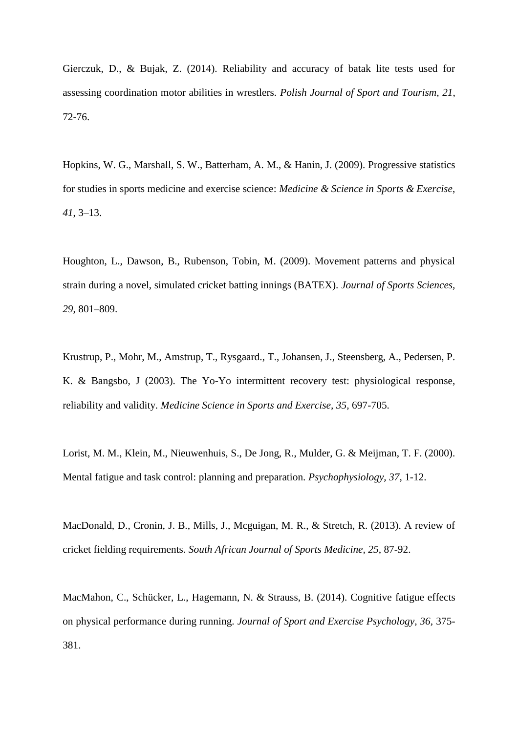Gierczuk, D., & Bujak, Z. (2014). Reliability and accuracy of batak lite tests used for assessing coordination motor abilities in wrestlers. *Polish Journal of Sport and Tourism, 21*, 72-76.

Hopkins, W. G., Marshall, S. W., Batterham, A. M., & Hanin, J. (2009). Progressive statistics for studies in sports medicine and exercise science: *Medicine & Science in Sports & Exercise*, *41*, 3–13.

Houghton, L., Dawson, B., Rubenson, Tobin, M. (2009). Movement patterns and physical strain during a novel, simulated cricket batting innings (BATEX). *Journal of Sports Sciences, 29*, 801–809.

Krustrup, P., Mohr, M., Amstrup, T., Rysgaard., T., Johansen, J., Steensberg, A., Pedersen, P. K. & Bangsbo, J (2003). The Yo-Yo intermittent recovery test: physiological response, reliability and validity. *Medicine Science in Sports and Exercise, 35,* 697-705.

Lorist, M. M., Klein, M., Nieuwenhuis, S., De Jong, R., Mulder, G. & Meijman, T. F. (2000). Mental fatigue and task control: planning and preparation. *Psychophysiology, 37*, 1-12.

MacDonald, D., Cronin, J. B., Mills, J., Mcguigan, M. R., & Stretch, R. (2013). A review of cricket fielding requirements. *South African Journal of Sports Medicine, 25*, 87-92.

MacMahon, C., Schücker, L., Hagemann, N. & Strauss, B. (2014). Cognitive fatigue effects on physical performance during running. *Journal of Sport and Exercise Psychology, 36,* 375- 381.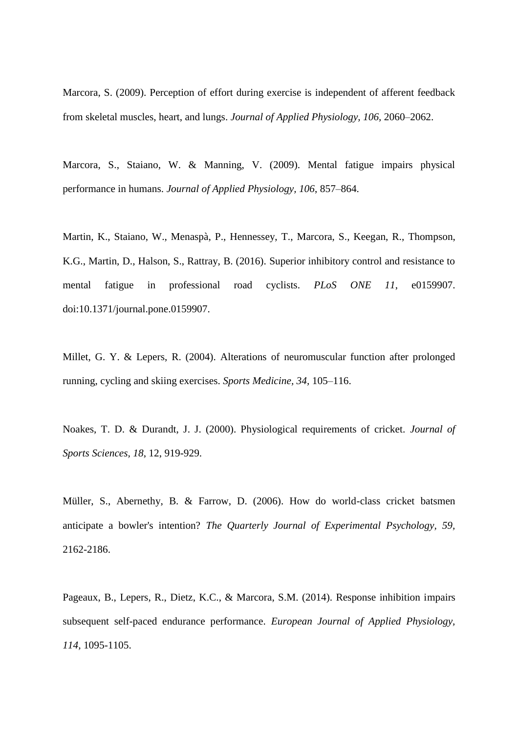Marcora, S. (2009). Perception of effort during exercise is independent of afferent feedback from skeletal muscles, heart, and lungs. *Journal of Applied Physiology, 106,* 2060–2062.

Marcora, S., Staiano, W. & Manning, V. (2009). Mental fatigue impairs physical performance in humans. *Journal of Applied Physiology, 106*, 857–864.

Martin, K., Staiano, W., Menaspà, P., Hennessey, T., Marcora, S., Keegan, R., Thompson, K.G., Martin, D., Halson, S., Rattray, B. (2016). Superior inhibitory control and resistance to mental fatigue in professional road cyclists. *PLoS ONE 11*, e0159907. doi:10.1371/journal.pone.0159907.

Millet, G. Y. & Lepers, R. (2004). Alterations of neuromuscular function after prolonged running, cycling and skiing exercises. *Sports Medicine, 34,* 105–116.

Noakes, T. D. & Durandt, J. J. (2000). Physiological requirements of cricket. *Journal of Sports Sciences, 18*, 12, 919-929.

Müller, S., Abernethy, B. & Farrow, D. (2006). How do world-class cricket batsmen anticipate a bowler's intention? *The Quarterly Journal of Experimental Psychology, 59,* 2162-2186.

Pageaux, B., Lepers, R., Dietz, K.C., & Marcora, S.M. (2014). Response inhibition impairs subsequent self-paced endurance performance. *European Journal of Applied Physiology, 114,* 1095-1105.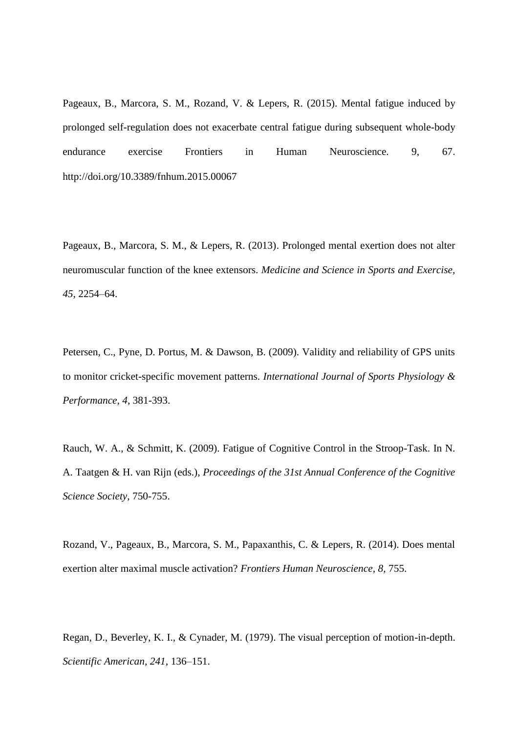Pageaux, B., Marcora, S. M., Rozand, V. & Lepers, R. (2015). Mental fatigue induced by prolonged self-regulation does not exacerbate central fatigue during subsequent whole-body endurance exercise Frontiers in Human Neuroscience. 9, 67. http://doi.org/10.3389/fnhum.2015.00067

Pageaux, B., Marcora, S. M., & Lepers, R. (2013). Prolonged mental exertion does not alter neuromuscular function of the knee extensors. *Medicine and Science in Sports and Exercise, 45*, 2254–64.

Petersen, C., Pyne, D. Portus, M. & Dawson, B. (2009). Validity and reliability of GPS units to monitor cricket-specific movement patterns. *International Journal of Sports Physiology & Performance, 4*, 381-393.

Rauch, W. A., & Schmitt, K. (2009). Fatigue of Cognitive Control in the Stroop-Task. In N. A. Taatgen & H. van Rijn (eds.), *Proceedings of the 31st Annual Conference of the Cognitive Science Society*, 750-755.

Rozand, V., Pageaux, B., Marcora, S. M., Papaxanthis, C. & Lepers, R. (2014). Does mental exertion alter maximal muscle activation? *Frontiers Human Neuroscience, 8*, 755.

Regan, D., Beverley, K. I., & Cynader, M. (1979). The visual perception of motion-in-depth. *Scientific American, 241*, 136–151.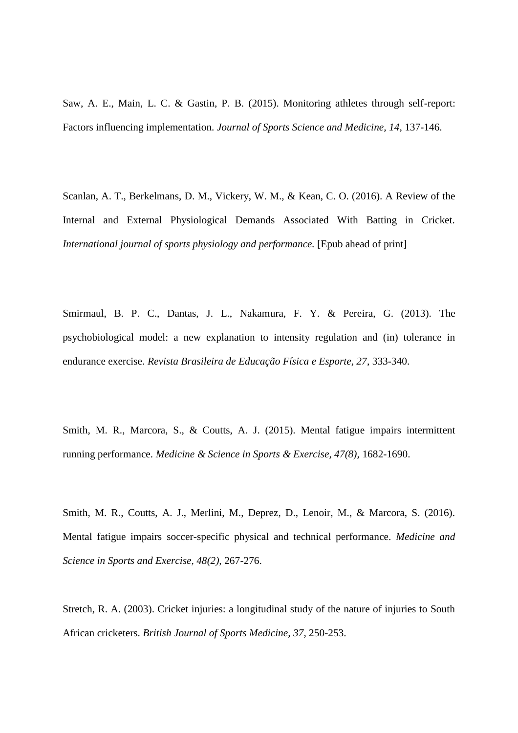Saw, A. E., Main, L. C. & Gastin, P. B. (2015). Monitoring athletes through self-report: Factors influencing implementation. *Journal of Sports Science and Medicine, 14*, 137-146.

Scanlan, A. T., Berkelmans, D. M., Vickery, W. M., & Kean, C. O. (2016). A Review of the Internal and External Physiological Demands Associated With Batting in Cricket. *International journal of sports physiology and performance.* [Epub ahead of print]

Smirmaul, B. P. C., Dantas, J. L., Nakamura, F. Y. & Pereira, G. (2013). The psychobiological model: a new explanation to intensity regulation and (in) tolerance in endurance exercise. *Revista Brasileira de Educação Física e Esporte, 27*, 333-340.

Smith, M. R., Marcora, S., & Coutts, A. J. (2015). Mental fatigue impairs intermittent running performance. *Medicine & Science in Sports & Exercise, 47(8),* 1682-1690.

Smith, M. R., Coutts, A. J., Merlini, M., Deprez, D., Lenoir, M., & Marcora, S. (2016). Mental fatigue impairs soccer-specific physical and technical performance. *Medicine and Science in Sports and Exercise, 48(2),* 267-276.

Stretch, R. A. (2003). Cricket injuries: a longitudinal study of the nature of injuries to South African cricketers. *British Journal of Sports Medicine, 37*, 250-253.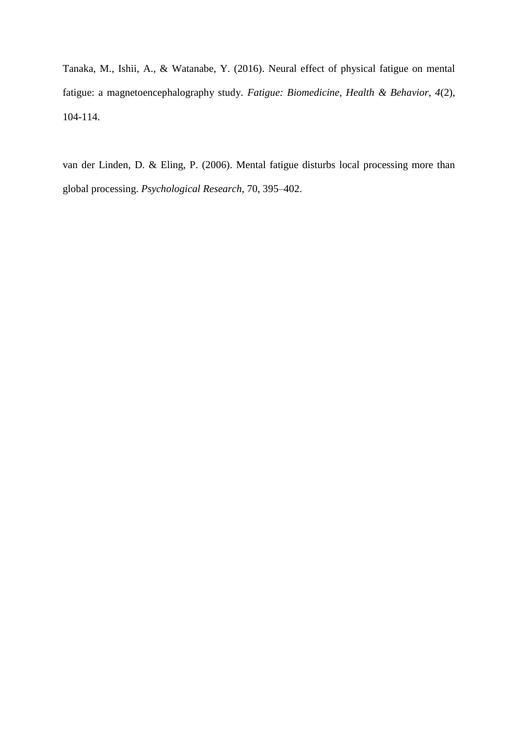Tanaka, M., Ishii, A., & Watanabe, Y. (2016). Neural effect of physical fatigue on mental fatigue: a magnetoencephalography study. *Fatigue: Biomedicine, Health & Behavior, 4*(2), 104-114.

van der Linden, D. & Eling, P. (2006). Mental fatigue disturbs local processing more than global processing. *Psychological Research,* 70, 395–402.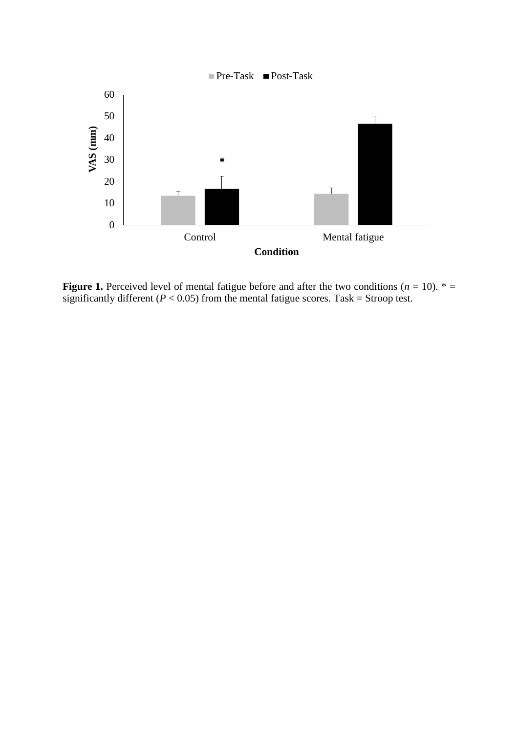

**Figure 1.** Perceived level of mental fatigue before and after the two conditions ( $n = 10$ ).  $* =$ significantly different ( $P < 0.05$ ) from the mental fatigue scores. Task = Stroop test.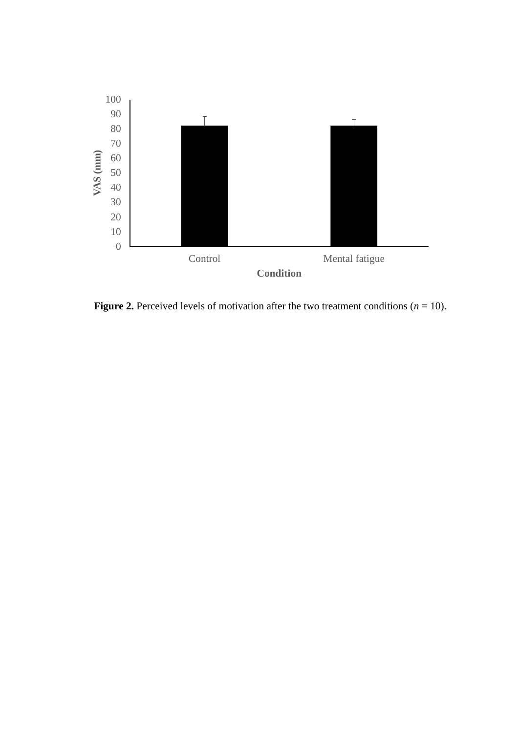

**Figure 2.** Perceived levels of motivation after the two treatment conditions  $(n = 10)$ .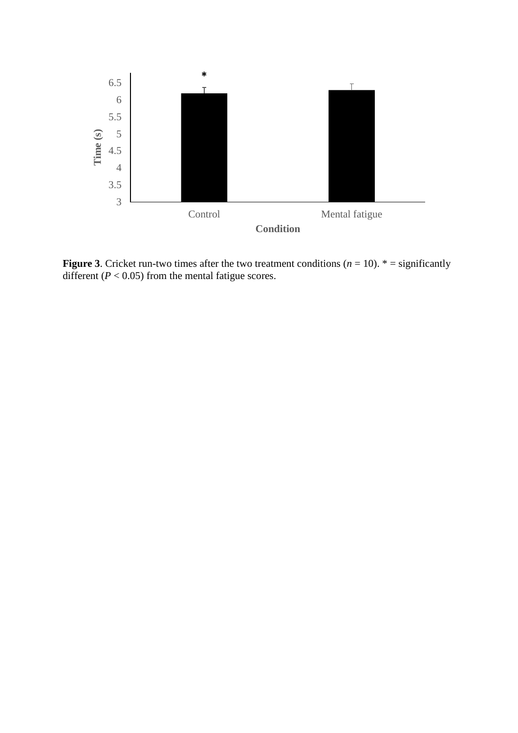

**Figure 3**. Cricket run-two times after the two treatment conditions  $(n = 10)$ . \* = significantly different ( $P < 0.05$ ) from the mental fatigue scores.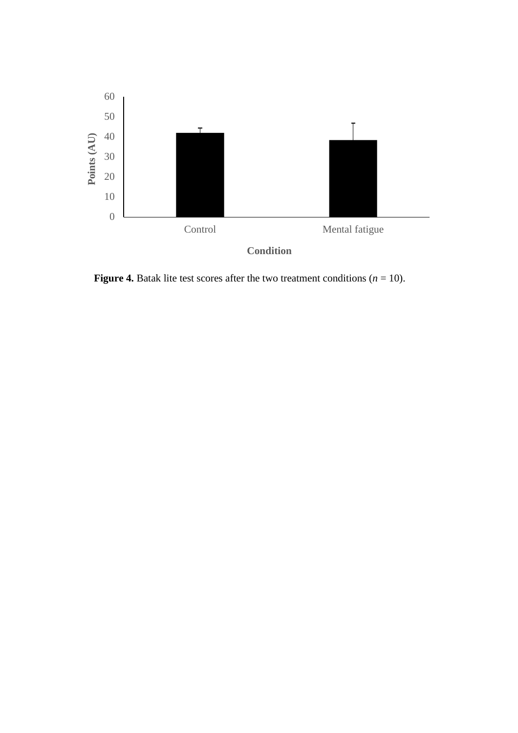

**Figure 4.** Batak lite test scores after the two treatment conditions  $(n = 10)$ .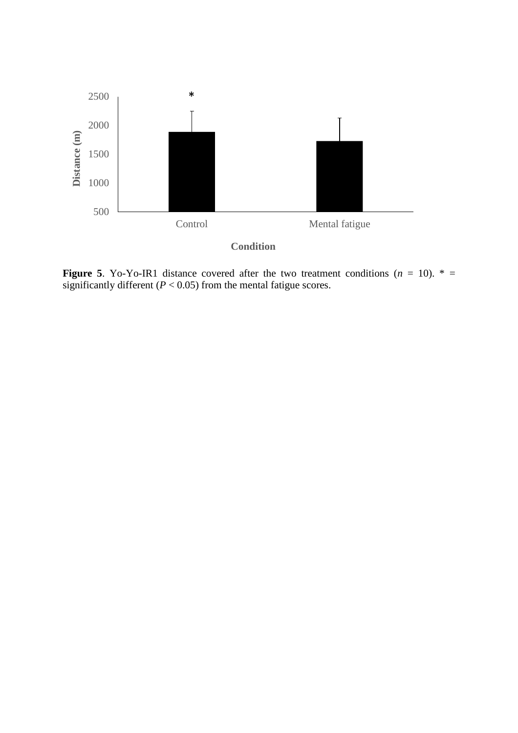

**Figure 5**. Yo-Yo-IR1 distance covered after the two treatment conditions  $(n = 10)$ .  $* =$ significantly different  $(P < 0.05)$  from the mental fatigue scores.